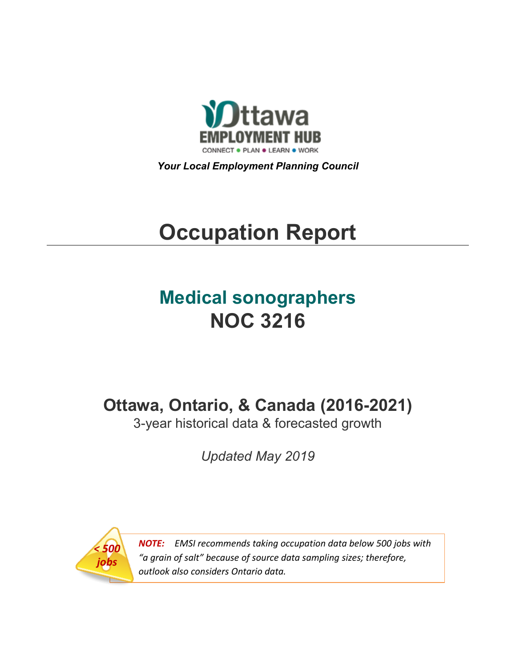

*Your Local Employment Planning Council*

# **Occupation Report**

# **Medical sonographers NOC 3216**

**Ottawa, Ontario, & Canada (2016-2021)**

3-year historical data & forecasted growth

*Updated May 2019*



*NOTE: EMSI recommends taking occupation data below 500 jobs with "a grain of salt" because of source data sampling sizes; therefore, outlook also considers Ontario data.*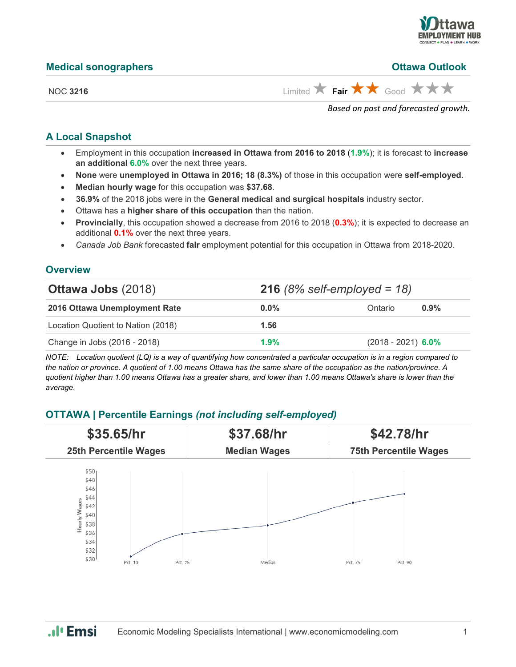

| <b>Medical sonographers</b> | <b>Ottawa Outlook</b>                                                         |
|-----------------------------|-------------------------------------------------------------------------------|
| <b>NOC 3216</b>             | Limited $\bigstar$ Fair $\bigstar \bigstar$ Good $\bigstar \bigstar \bigstar$ |
|                             |                                                                               |

*Based on past and forecasted growth.*

#### **A Local Snapshot**

- Employment in this occupation **increased in Ottawa from 2016 to 2018** (**1.9%**); it is forecast to **increase an additional 6.0%** over the next three years.
- **None** were **unemployed in Ottawa in 2016; 18 (8.3%)** of those in this occupation were **self-employed**.
- **Median hourly wage** for this occupation was **\$37.68**.
- **36.9%** of the 2018 jobs were in the **General medical and surgical hospitals** industry sector.
- Ottawa has a **higher share of this occupation** than the nation.
- **Provincially**, this occupation showed a decrease from 2016 to 2018 (**0.3%**); it is expected to decrease an additional **0.1%** over the next three years.
- *Canada Job Bank* forecasted **fair** employment potential for this occupation in Ottawa from 2018-2020.

#### **Overview**

| <b>Ottawa Jobs (2018)</b>          | <b>216</b> (8% self-employed = 18) |                      |      |  |
|------------------------------------|------------------------------------|----------------------|------|--|
| 2016 Ottawa Unemployment Rate      | $0.0\%$                            | Ontario              | 0.9% |  |
| Location Quotient to Nation (2018) | 1.56                               |                      |      |  |
| Change in Jobs (2016 - 2018)       | $1.9\%$                            | $(2018 - 2021)$ 6.0% |      |  |

*NOTE: Location quotient (LQ) is a way of quantifying how concentrated a particular occupation is in a region compared to the nation or province. A quotient of 1.00 means Ottawa has the same share of the occupation as the nation/province. A quotient higher than 1.00 means Ottawa has a greater share, and lower than 1.00 means Ottawa's share is lower than the average.*

## **OTTAWA | Percentile Earnings** *(not including self-employed)*



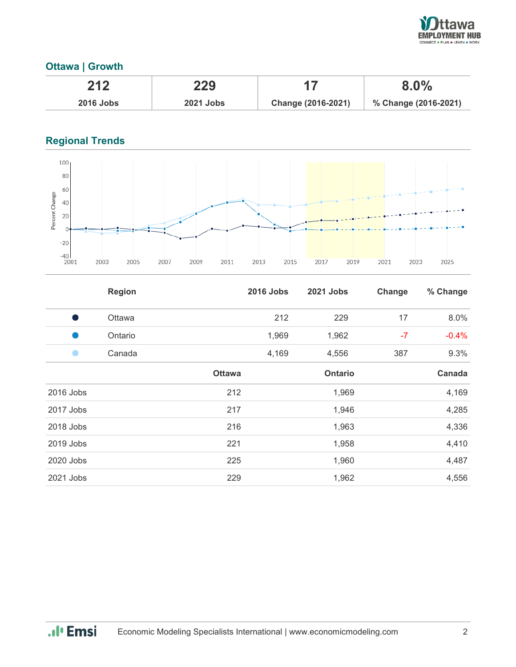

# **Ottawa | Growth**

| 212              | 229              |                    | 8.0%                 |
|------------------|------------------|--------------------|----------------------|
| <b>2016 Jobs</b> | <b>2021 Jobs</b> | Change (2016-2021) | % Change (2016-2021) |

# **Regional Trends**



|           | <b>Region</b> |               | <b>2016 Jobs</b> | <b>2021 Jobs</b> | Change | % Change |
|-----------|---------------|---------------|------------------|------------------|--------|----------|
| Ð         | Ottawa        |               | 212              | 229              | 17     | 8.0%     |
|           | Ontario       |               | 1,969            | 1,962            | $-7$   | $-0.4%$  |
|           | Canada        |               | 4,169            | 4,556            | 387    | 9.3%     |
|           |               | <b>Ottawa</b> |                  | <b>Ontario</b>   |        | Canada   |
| 2016 Jobs |               | 212           |                  | 1,969            |        | 4,169    |
| 2017 Jobs |               | 217           |                  | 1,946            |        | 4,285    |
| 2018 Jobs |               | 216           |                  | 1,963            |        | 4,336    |
| 2019 Jobs |               | 221           |                  | 1,958            |        | 4,410    |
| 2020 Jobs |               | 225           |                  | 1,960            |        | 4,487    |
| 2021 Jobs |               | 229           |                  | 1,962            |        | 4,556    |

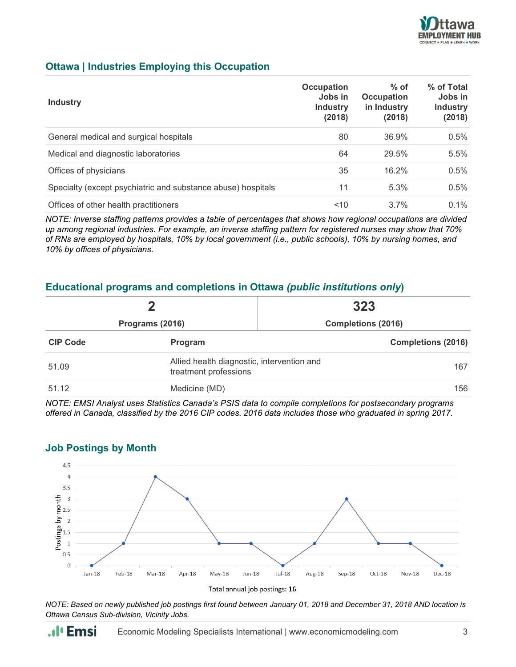

## **Ottawa | Industries Employing this Occupation**

| <b>Industry</b>                                              | Occupation<br>Jobs in<br><b>Industry</b><br>(2018) | $%$ of<br>Occupation<br>in Industry<br>(2018) | % of Total<br>Jobs in<br><b>Industry</b><br>(2018) |
|--------------------------------------------------------------|----------------------------------------------------|-----------------------------------------------|----------------------------------------------------|
| General medical and surgical hospitals                       | 80                                                 | 36.9%                                         | 0.5%                                               |
| Medical and diagnostic laboratories                          | 64                                                 | 29.5%                                         | 5.5%                                               |
| Offices of physicians                                        | 35                                                 | 16.2%                                         | 0.5%                                               |
| Specialty (except psychiatric and substance abuse) hospitals | 11                                                 | 5.3%                                          | 0.5%                                               |
| Offices of other health practitioners                        | 10                                                 | 3.7%                                          | $0.1\%$                                            |

*NOTE: Inverse staffing patterns provides a table of percentages that shows how regional occupations are divided up among regional industries. For example, an inverse staffing pattern for registered nurses may show that 70% of RNs are employed by hospitals, 10% by local government (i.e., public schools), 10% by nursing homes, and 10% by offices of physicians.*

#### **Educational programs and completions in Ottawa** *(public institutions only***)**

| Programs (2016) |                                                                     | 323<br><b>Completions (2016)</b> |  |
|-----------------|---------------------------------------------------------------------|----------------------------------|--|
|                 |                                                                     |                                  |  |
| 51.09           | Allied health diagnostic, intervention and<br>treatment professions | 167                              |  |
| 51.12           | Medicine (MD)                                                       | 156                              |  |

*NOTE: EMSI Analyst uses Statistics Canada's PSIS data to compile completions for postsecondary programs offered in Canada, classified by the 2016 CIP codes. 2016 data includes those who graduated in spring 2017.*

## **Job Postings by Month**



*NOTE: Based on newly published job postings first found between January 01, 2018 and December 31, 2018 AND location is Ottawa Census Sub-division, Vicinity Jobs.*